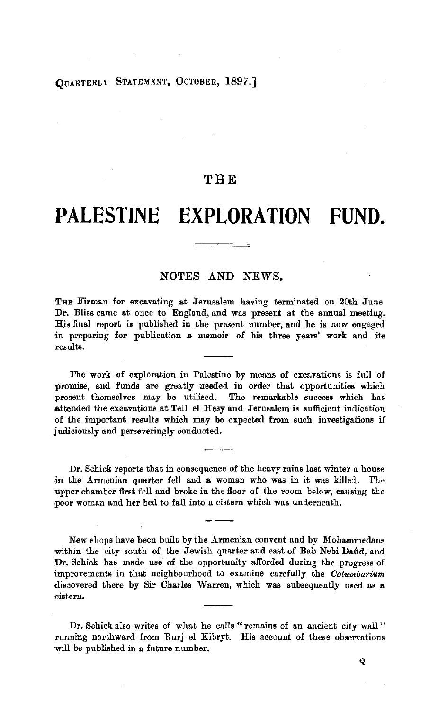## OUARTERLY STATEMENT, OCTOBER, 1897.]

## **THE**

# **PALESTINE EXPLORATION FUND.**

## NOTES AND NEWS.

THE Firman for excavating at Jerusalem having terminated on 20th June Dr. Bliss came at once to England, and was present at the annual meeting. His final report is published in the present number, and he is now engaged in preparing for publication a memoir of his three years' work and its results.

The work of exploration in Palestine by means of excavations is full of promise, and funds are greatly needed in order that opportunities which present themselves may be utilised. The remarkable success which has attended the excavations at Tell el Hesy and Jerusalem is sufficient indication of the important results which may be expected from such investigations if judiciously and perseveringly conducted.

Dr. Schick reports that in consequence of the heavy rains last winter a house in the Armenian quarter fell and a woman who was in it was killed. The upper chamber first fell and broke in the floor of the room below, causing the poor woman and her bed to fall into a cistern which was underneath.

New shops have been built by the Armenian convent and by Mohammedans within the city south of the Jewish quarter and east of Bab Nebi Daud, and Dr. Schick has made use of the opportunity afforded during the progress of improvements in that neighbourhood to examine carefully the *Oolumbarium*  discovered there by Sir Charles Warren, which was subsequently used as a -cistern.

Dr. Schick also writes of what he calls "remains of an ancient city wall" running northward from Eurj el Kibryt. His account of these observations will be published in a future number.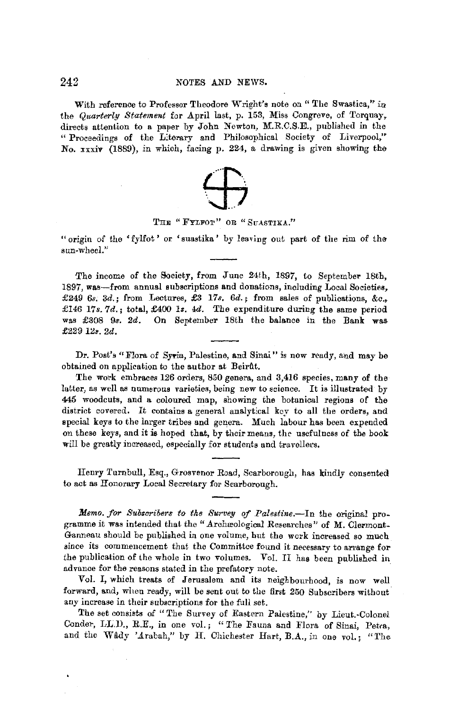With reference to Professor Theodore Wright's note on "The Swastica," in the *Quarterly Statement* for April last, p. 153, Miss Congreve, of Torquay, directs attention to a paper by John Newton, M.R.C.S.E., published in the " Proceedings of the Literary and Philosophical Society of Liverpool," No.  $\overline{x}$ xiv (1889), in which, facing p. 224, a drawing is given showing the



#### THE "FYLFOT" OR "SUASTIKA."

"origin of the 'fylfot' or 'suastika' by leaving out part of the rim of the, sun-wheel."

The income of the Society, from June 24th, 1897, to September 18th, 1897, was-from annual subscriptions and donations, including Local Societies, £249 6s. 3d.; from Lectures, £3 17s. 6d.; from sales of publications, &c., £146 17s. 7d.; total, £400 1s. 4d. The expenditure during the same period was £308 9s. 2d. On September 18th the balance in the Bank was £229 *lis. 2d.* 

Dr. Post's "Flora of Syria, Palestine, and Sinai" is now ready, and may be obtained on application to the author at Beirft.

The work embraces 126 orders, 850 genera, and 3,416 species, many of the latter, as well as numerous varieties, being new to science. It is illustrated by 445 woodcuts, and a coloured map, showing the botanical regions of the district covered. It contains a general analytical key to all the orders, and special keys to the larger tribes and genera. Much labour has been expended on these keys, and it is hoped that, by their means, the usefulness of the book will be greatly increased, especially for students and travellers.

Henry Turnbull, Esq., Grosvenor Road, Scarborough, has kindly consented to act as Honorary Local Secretary for Scarborough.

*Memo. for Subscribers to the Survey of Palestine.*-In the original programme it was intended that the "Archæological Researches" of M. Clermont-Ganneau should be published in one volume, but the work increased so much since its commencement that the Committee found it necessary to arrange for the publication of the whole in two volumes. Vol. II has been published in advance for the reasons stated in the prefatory note.

Vol. I, which treats of Jerusalem and its neighbourhood, is now well forward, and, when ready, will be sent out to the first 250 Subscribers without any increase in their subscriptions for the full set.

The set consists of "The Survey of Eastern Palestine," by Lieut.-Colonel Conder, LL.D., R.E., in one vol.; "The Fauna and Flora of Sinai, Petra, and the Wâdy 'Arabah," by H. Chichester Hart, B.A., in one vol.; "The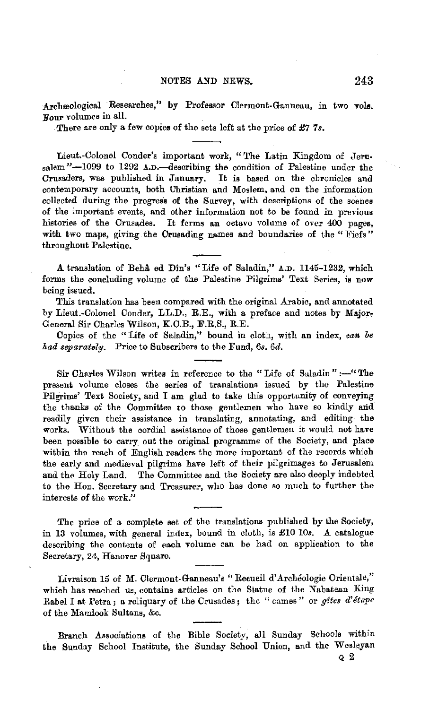Archeological Researches," by Professor Clermont-Ganneau, in two vols. Four volumes in all.

There are only a few copies of the sets left at the price of *£7 7s.* 

Lieut.-Colonel Conder's important work, "The Latin Kingdom of Jerusalem "-1099 to 1292 A.D.-describing the condition of Palestine under the Crusaders, was published in January. It is based on the chronicles and contemporary accounts, both Christian and Moslem, and on the information collected during the progress of the Survey, with descriptions of the scenes of the important events, and other information not to be found *in* previous histories of the Crusades. It forms an octavo volume of over 400 pages, with two maps, giving the Crusading names and boundaries of the " Fiefs" throughout Palestine.

A translation of Beha ed Din's "Life of Saladin," A.D. 1145-1232, which forms the concluding volume of the Palestine Pilgrims' Text Series, is now being issued.

This translation has been compared with the original Arabic, and annotated by Lieut.-Colonel Conder, LL.D., R.E., with a preface and notes by Major. General Sir Charles Wilson, K.C.B., F.R.S., R.E.

Copies of the "Life of Saladin," bound in cloth, with an index, *can be had separately.* Price to Subscribers to the Fund, 6s. 6d.

Sir Charles Wilson writes in reference to the "Life of Saladin" :-- "The present volume closes the series of translations issued by the Palestine Pilgrims' Text Society, and I am glad to take this opportunity of conveying the thanks of the Committee to those gentlemen who have so kindly and readily given their assistance in translating, annotating, and editing the works. Without the eordial assistance of those gentlemen it would not have been possible to carry out the original programme of the Society, and place within the reach of English readers the more important of the records which the early and mediæval pilgrims have left of their pilgrimages to Jerusalem and the Holy Land. The Committee and the Society are also deeply indebted to the Hon. Secretary and Treasurer, who has done so much to further the interests of the work."

The price of a complete set of the translations published by the Society, in 13 volumes, with general index, bound in cloth, is £10 10s. A catalogue describing the contents of each volume can be had on application to the Secretary, 24, Hanover Square.

Livraison 15 of M. Clermont-Ganneau's "Recueil d'Archéologie Orientale," which has reached us, contains articles on the Statue of the Nabatean Ring Rabel I at Petra; a reliquary of the Crusades; the "cames" or *gites d'étape* of the Mamlook Sultans, &c.

Branch Associations of the Bible Society, all Sunday Schools within the Sunday School Institute, the Sunday School Union, and the Wesleyan

Q 2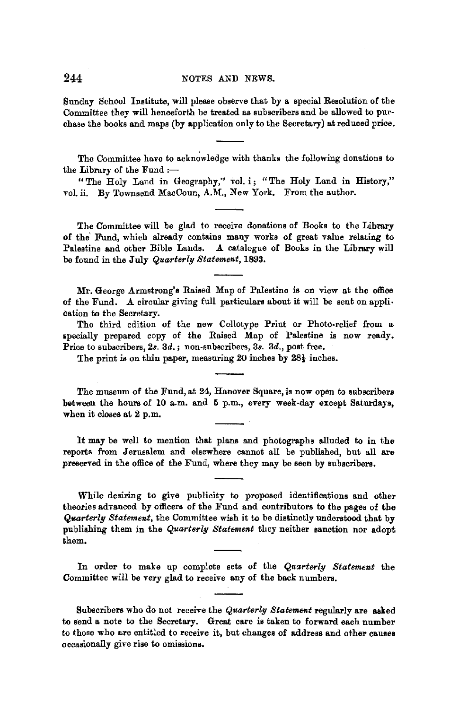Sunday School Institute, will please observe that by a. special Resolution of the Committee they will henceforth be treated as subscribers and be allowed to purchase the books and maps (by application only to the Secretary) at reduced price.

The Committee have to acknowledge with thanks the following donations to the Library of the Fund  $:=$ 

" The Holy Land in Geography," vol. i; "The Holy Land in History," vol. ii. By Townsend MacCoun, A.M., New York. From the author.

The Committee will be glad to receive donations of Books to the Library of the Fund, which already contains many works of great value relating to Palestine and other Bible Lands. A catalogue of Books in the Library will A catalogue of Books in the Library will be found in the July *Quarterly Statement,* 1893.

Mr. George Armstrong's Raised Map of Palestine is on view at the office of the Fund. A circular giving full particulars about it will be sent on application to the Secretary.

The third edition of the new Collotype Print or Photo-relief from a specially prepared copy of the Raised Map of Palestine is now ready. Price to subscribers, 2s. 3d.; non-subscribers, 3s. 3d., post free.

The print is on thin paper, measuring 20 inches by 28 $\frac{1}{2}$  inches.

The museum of the Fund, at 24, Hanover Square, is now open to subscribers between the hours of 10 a.m. and 5 p.m., every week-day except Saturdays, when it closes at 2 p.m.

It may be well to mention that plans and photographs alluded to in the reports from Jerusalem and elsewhere cannot all be published, but all are preserved in the office of the Fund, where they may be seen by subscribers.

While desiring to give publicity to proposed identifications and other theories advanced by officers of the Fund and contributors to the pages of the *Qi&arterly Statement,* the Committee wish it to be distinctly understood that by publishing them in the *Quarterly Statement* they neither sanction nor adopt them,

In order to make up complete sets of the *Quarterly Statement* the Committee will be very glad to receive any of the back numbers.

Subscribers who do not receive the *Quarterly Statement* regularly are asked to send **a** note to the Secretary. Great care is taken to forward each number to those who are entitled to receive it, but changes of address and other **cauaea**  occasionally give rise to omissions.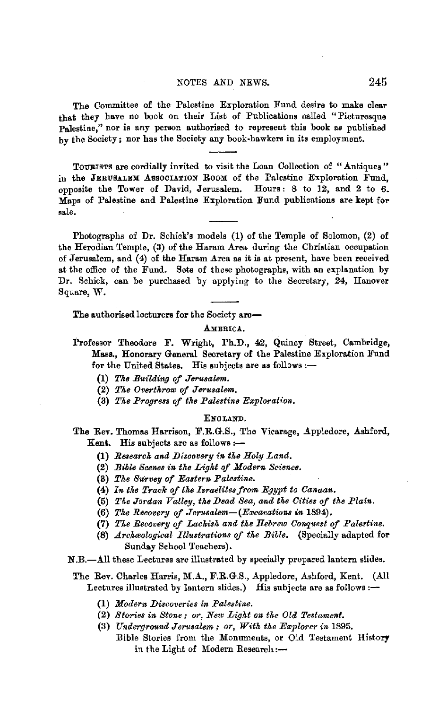#### NOTES AND NEWS. 245

The Committee of the Palestine Exploration Fund desire to make clear that they have no book on their List of Publications called "Picturesque Palestine," nor is any person authorised to represent this book as published by the Society; nor has the Society any book-hawkers in its employment.

TOURISTS are cordially invited to visit the Loan Collection of "Antiques" in the JERUSALEM ASSOCIATION ROOM of the Palestine Exploration Fund. opposite the Tower of David, Jerusalem. Hours: 8 to 12, and 2 to 6. Maps of Palestine and Palestine Exploration Fund publications are kept for sale,

Photographs of Dr. Schick's models (1) of the Temple of Solomon, (2) of the Herodian Temple, (3) of the Haram Area during the Christian occupation of Jerusalem, and (4) of the Haram Area as it is at present, have been received at the office of the Fund. Sets of these photographs, with an explanation by Dr. Schick, can be purchased by applying to the Secretary, 24, Hanover Square, W.

The authorised lecturers for the Society are-

AMERICA.

- Professor Theodore F. Wright, Ph.D., 42, Quincy Street, Cambridge, **Mass.,** Honorary General Secretary of the Palestine Exploration Fund for the United States. His subjects are as follows:-
	- (1) The Building of Jerusalem.
	- (2) The Overthrow of Jerusalem.
	- (3) *The Progress of the Palestine Exploration.*

### ENGLAND.

The Rev. Thomas Harrison, F.R.G.S., The Vicarage, Appledore, Ashford, Kent. His subjects are as follows :-

- (1) Research and Discovery in the Holy Land.
- (2) *Bible Scenes in the Light of Modern Science.*
- (3) The Survey of Eastern Palestine.
- (4) *In the Track of the Israelites from Egypt to Canaan.*
- (5) The Jordan Valley, the Dead Sea, and the Cities of the Plain.
- (6) *The Recovery of Jerusalem-(Excavations in* 1894).
- (7) *The Recovery of Lachish and the Hebrew Oonq\_uest of Palestine.*
- (8) *Archaelogical Illustrations of the Bible.* (Specially adapted for Sunday School Teachers).
- N.B.-All these Lectures are illustrated by specially prepared lantern slides.

#### The Rev. Charles Harris, M.A., F.R.G.S., Appledore, Ashford, Kent. (All Lectures illustrated by lantern slides.) His subjects are as follows: $-$

- **(1)** *Modern Discoveries in Palestine.*
- (2) *Stories in Stone; or, New Light on the Old Testament.*
- (3) *Underground Jerusalem; or, With the Explorer in* 1895. :Bible Stories from the Monuments, or Old Testament History in the Light of Modern Research :-